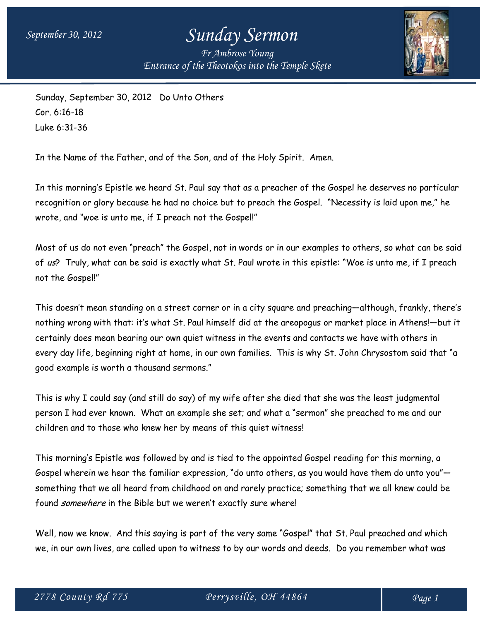## *September 30, 2012 Sunday Sermon*

*Fr Ambrose Young Entrance of the Theotokos into the Temple Skete*



Sunday, September 30, 2012 Do Unto Others Cor. 6:16-18 Luke 6:31-36

In the Name of the Father, and of the Son, and of the Holy Spirit. Amen.

In this morning's Epistle we heard St. Paul say that as a preacher of the Gospel he deserves no particular recognition or glory because he had no choice but to preach the Gospel. "Necessity is laid upon me," he wrote, and "woe is unto me, if I preach not the Gospel!"

Most of us do not even "preach" the Gospel, not in words or in our examples to others, so what can be said of us? Truly, what can be said is exactly what St. Paul wrote in this epistle: "Woe is unto me, if I preach not the Gospel!"

This doesn't mean standing on a street corner or in a city square and preaching—although, frankly, there's nothing wrong with that: it's what St. Paul himself did at the areopogus or market place in Athens!—but it certainly does mean bearing our own quiet witness in the events and contacts we have with others in every day life, beginning right at home, in our own families. This is why St. John Chrysostom said that "a good example is worth a thousand sermons."

This is why I could say (and still do say) of my wife after she died that she was the least judgmental person I had ever known. What an example she set; and what a "sermon" she preached to me and our children and to those who knew her by means of this quiet witness!

This morning's Epistle was followed by and is tied to the appointed Gospel reading for this morning, a Gospel wherein we hear the familiar expression, "do unto others, as you would have them do unto you" something that we all heard from childhood on and rarely practice; something that we all knew could be found *somewhere* in the Bible but we weren't exactly sure where!

Well, now we know. And this saying is part of the very same "Gospel" that St. Paul preached and which we, in our own lives, are called upon to witness to by our words and deeds. Do you remember what was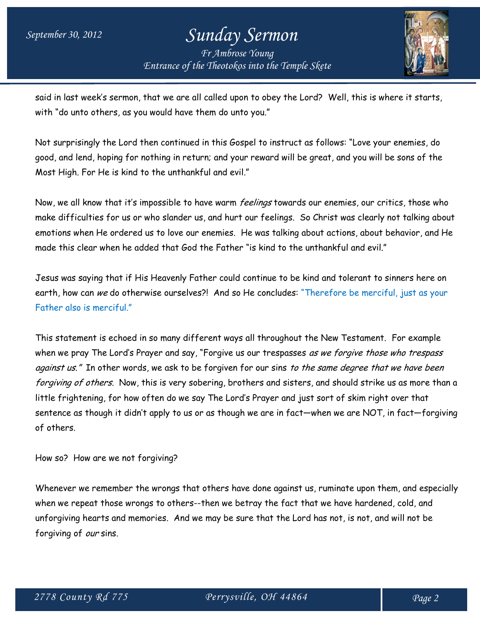## *September 30, 2012 Sunday Sermon*

*Fr Ambrose Young Entrance of the Theotokos into the Temple Skete*



said in last week's sermon, that we are all called upon to obey the Lord? Well, this is where it starts, with "do unto others, as you would have them do unto you."

Not surprisingly the Lord then continued in this Gospel to instruct as follows: "Love your enemies, do good, and lend, hoping for nothing in return; and your reward will be great, and you will be sons of the Most High. For He is kind to the unthankful and evil."

Now, we all know that it's impossible to have warm *feelings* towards our enemies, our critics, those who make difficulties for us or who slander us, and hurt our feelings. So Christ was clearly not talking about emotions when He ordered us to love our enemies. He was talking about actions, about behavior, and He made this clear when he added that God the Father "is kind to the unthankful and evil."

Jesus was saying that if His Heavenly Father could continue to be kind and tolerant to sinners here on earth, how can we do otherwise ourselves?! And so He concludes: "Therefore be merciful, just as your Father also is merciful."

This statement is echoed in so many different ways all throughout the New Testament. For example when we pray The Lord's Prayer and say, "Forgive us our trespasses as we forgive those who trespass against us." In other words, we ask to be forgiven for our sins to the same degree that we have been forgiving of others. Now, this is very sobering, brothers and sisters, and should strike us as more than a little frightening, for how often do we say The Lord's Prayer and just sort of skim right over that sentence as though it didn't apply to us or as though we are in fact—when we are NOT, in fact—forgiving of others.

How so? How are we not forgiving?

Whenever we remember the wrongs that others have done against us, ruminate upon them, and especially when we repeat those wrongs to others--then we betray the fact that we have hardened, cold, and unforgiving hearts and memories. And we may be sure that the Lord has not, is not, and will not be forgiving of our sins.